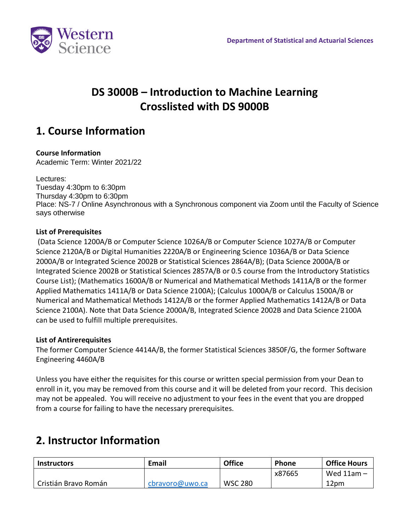

# **DS 3000B – Introduction to Machine Learning Crosslisted with DS 9000B**

# **1. Course Information**

#### **Course Information**

Academic Term: Winter 2021/22

Lectures:

Tuesday 4:30pm to 6:30pm Thursday 4:30pm to 6:30pm Place: NS-7 / Online Asynchronous with a Synchronous component via Zoom until the Faculty of Science says otherwise

#### **List of Prerequisites**

(Data Science 1200A/B or Computer Science 1026A/B or Computer Science 1027A/B or Computer Science 2120A/B or Digital Humanities 2220A/B or Engineering Science 1036A/B or Data Science 2000A/B or Integrated Science 2002B or Statistical Sciences 2864A/B); (Data Science 2000A/B or Integrated Science 2002B or Statistical Sciences 2857A/B or 0.5 course from the Introductory Statistics Course List); (Mathematics 1600A/B or Numerical and Mathematical Methods 1411A/B or the former Applied Mathematics 1411A/B or Data Science 2100A); (Calculus 1000A/B or Calculus 1500A/B or Numerical and Mathematical Methods 1412A/B or the former Applied Mathematics 1412A/B or Data Science 2100A). Note that Data Science 2000A/B, Integrated Science 2002B and Data Science 2100A can be used to fulfill multiple prerequisites.

#### **List of Antirerequisites**

The former Computer Science 4414A/B, the former Statistical Sciences 3850F/G, the former Software Engineering 4460A/B

Unless you have either the requisites for this course or written special permission from your Dean to enroll in it, you may be removed from this course and it will be deleted from your record. This decision may not be appealed. You will receive no adjustment to your fees in the event that you are dropped from a course for failing to have the necessary prerequisites.

### **2. Instructor Information**

| <b>Instructors</b>   | Email           | <b>Office</b>  | <b>Phone</b> | <b>Office Hours</b> |
|----------------------|-----------------|----------------|--------------|---------------------|
|                      |                 |                | x87665       | Wed $11am -$        |
| Cristián Bravo Román | cbravoro@uwo.ca | <b>WSC 280</b> |              | 12pm                |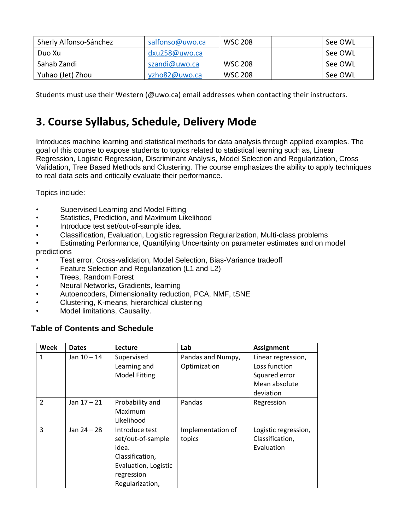| Sherly Alfonso-Sánchez | salfonso@uwo.ca | <b>WSC 208</b> | See OWL |
|------------------------|-----------------|----------------|---------|
| Duo Xu                 | dxu258@uwo.ca   |                | See OWL |
| Sahab Zandi            | szandi@uwo.ca   | <b>WSC 208</b> | See OWL |
| Yuhao (Jet) Zhou       | yzho82@uwo.ca   | <b>WSC 208</b> | See OWL |

Students must use their Western (@uwo.ca) email addresses when contacting their instructors.

## **3. Course Syllabus, Schedule, Delivery Mode**

Introduces machine learning and statistical methods for data analysis through applied examples. The goal of this course to expose students to topics related to statistical learning such as, Linear Regression, Logistic Regression, Discriminant Analysis, Model Selection and Regularization, Cross Validation, Tree Based Methods and Clustering. The course emphasizes the ability to apply techniques to real data sets and critically evaluate their performance.

Topics include:

- Supervised Learning and Model Fitting
- Statistics, Prediction, and Maximum Likelihood
- Introduce test set/out-of-sample idea.
- Classification, Evaluation, Logistic regression Regularization, Multi-class problems
- Estimating Performance, Quantifying Uncertainty on parameter estimates and on model predictions
- Test error, Cross-validation, Model Selection, Bias-Variance tradeoff
- Feature Selection and Regularization (L1 and L2)
- Trees, Random Forest
- Neural Networks, Gradients, learning
- Autoencoders, Dimensionality reduction, PCA, NMF, tSNE
- Clustering, K-means, hierarchical clustering
- Model limitations, Causality.

### **Table of Contents and Schedule**

| Week                    | <b>Dates</b>  | Lecture              | Lab               | <b>Assignment</b>    |
|-------------------------|---------------|----------------------|-------------------|----------------------|
| 1                       | Jan $10 - 14$ | Supervised           | Pandas and Numpy, | Linear regression,   |
|                         |               | Learning and         | Optimization      | Loss function        |
|                         |               | <b>Model Fitting</b> |                   | Squared error        |
|                         |               |                      |                   | Mean absolute        |
|                         |               |                      |                   | deviation            |
| $\overline{\mathbf{c}}$ | Jan 17 – 21   | Probability and      | Pandas            | Regression           |
|                         |               | Maximum              |                   |                      |
|                         |               | Likelihood           |                   |                      |
| 3                       | Jan $24 - 28$ | Introduce test       | Implementation of | Logistic regression, |
|                         |               | set/out-of-sample    | topics            | Classification,      |
|                         |               | idea.                |                   | Evaluation           |
|                         |               | Classification,      |                   |                      |
|                         |               | Evaluation, Logistic |                   |                      |
|                         |               | regression           |                   |                      |
|                         |               | Regularization,      |                   |                      |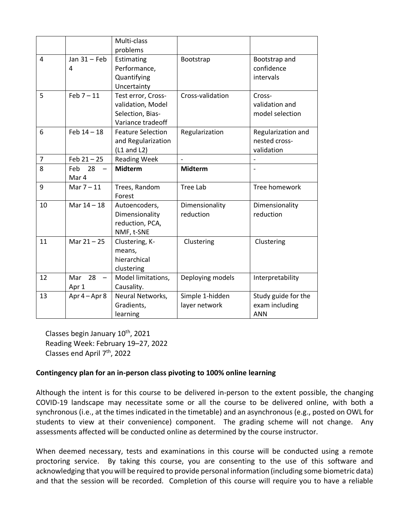|                |                                                | Multi-class<br>problems                                                          |                                  |                                                     |
|----------------|------------------------------------------------|----------------------------------------------------------------------------------|----------------------------------|-----------------------------------------------------|
| 4              | Jan $31$ - Feb<br>4                            | Estimating<br>Performance,<br>Quantifying<br>Uncertainty                         | Bootstrap                        | Bootstrap and<br>confidence<br>intervals            |
| 5              | $Feb 7 - 11$                                   | Test error, Cross-<br>validation, Model<br>Selection, Bias-<br>Variance tradeoff | Cross-validation                 | Cross-<br>validation and<br>model selection         |
| 6              | $Feb 14 - 18$                                  | <b>Feature Selection</b><br>and Regularization<br>$(L1$ and $L2)$                | Regularization                   | Regularization and<br>nested cross-<br>validation   |
| $\overline{7}$ | $Feb 21 - 25$                                  | <b>Reading Week</b>                                                              | $\overline{a}$                   |                                                     |
| 8              | 28<br>Feb<br>Mar 4                             | <b>Midterm</b>                                                                   | <b>Midterm</b>                   | $\overline{\phantom{a}}$                            |
| 9              | Mar $7 - 11$                                   | Trees, Random<br>Forest                                                          | Tree Lab                         | Tree homework                                       |
| 10             | Mar $14 - 18$                                  | Autoencoders,<br>Dimensionality<br>reduction, PCA,<br>NMF, t-SNE                 | Dimensionality<br>reduction      | Dimensionality<br>reduction                         |
| 11             | Mar $21 - 25$                                  | Clustering, K-<br>means,<br>hierarchical<br>clustering                           | Clustering                       | Clustering                                          |
| 12             | Mar<br>28<br>$\overline{\phantom{m}}$<br>Apr 1 | Model limitations,<br>Causality.                                                 | Deploying models                 | Interpretability                                    |
| 13             | Apr 4 - Apr 8                                  | Neural Networks,<br>Gradients,<br>learning                                       | Simple 1-hidden<br>layer network | Study guide for the<br>exam including<br><b>ANN</b> |

Classes begin January  $10<sup>th</sup>$ , 2021 Reading Week: February 19–27, 2022 Classes end April 7<sup>th</sup>, 2022

#### **Contingency plan for an in-person class pivoting to 100% online learning**

Although the intent is for this course to be delivered in-person to the extent possible, the changing COVID-19 landscape may necessitate some or all the course to be delivered online, with both a synchronous (i.e., at the times indicated in the timetable) and an asynchronous (e.g., posted on OWL for students to view at their convenience) component. The grading scheme will not change. Any assessments affected will be conducted online as determined by the course instructor.

When deemed necessary, tests and examinations in this course will be conducted using a remote proctoring service. By taking this course, you are consenting to the use of this software and acknowledging that you will be required to provide personal information (including some biometric data) and that the session will be recorded. Completion of this course will require you to have a reliable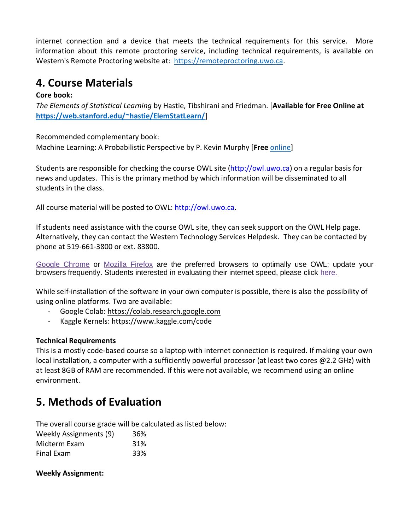internet connection and a device that meets the technical requirements for this service. More information about this remote proctoring service, including technical requirements, is available on Western's Remote Proctoring website at: [https://remoteproctoring.uwo.ca.](https://remoteproctoring.uwo.ca/)

## **4. Course Materials**

#### **Core book:**

*The Elements of Statistical Learning* by Hastie, Tibshirani and Friedman. [**Available for Free Online at <https://web.stanford.edu/~hastie/ElemStatLearn/>**]

Recommended complementary book:

Machine Learning: A Probabilistic Perspective by P. Kevin Murphy [**Free** [online\]](https://www.cs.ubc.ca/~murphyk/MLbook/)

Students are responsible for checking the course OWL site (http://owl.uwo.ca) on a regular basis for news and updates. This is the primary method by which information will be disseminated to all students in the class.

All course material will be posted to OWL: http://owl.uwo.ca.

If students need assistance with the course OWL site, they can seek support on the OWL Help page. Alternatively, they can contact the Western Technology Services Helpdesk. They can be contacted by phone at 519-661-3800 or ext. 83800.

[Google Chrome](https://www.google.ca/chrome/?brand=CHBD&gclid=CjwKCAjwxLH3BRApEiwAqX9arfg8JaH6fWGASk9bHTkfW_dyBir93A1-TliP-7u1Kguf-WZsoGAPhBoC9NYQAvD_BwE&gclsrc=aw.ds) or [Mozilla Firefox](https://www.mozilla.org/en-CA/) are the preferred browsers to optimally use OWL; update your browsers frequently. Students interested in evaluating their internet speed, please click [here.](https://www.google.com/search?q=internet+speed+test+google&rlz=1C5CHFA_enCA702CA702&oq=internet+speed+test+google&aqs=chrome..69i57j0l7.3608j0j4&sourceid=chrome&ie=UTF-8)

While self-installation of the software in your own computer is possible, there is also the possibility of using online platforms. Two are available:

- Google Colab: [https://colab.research.google.com](https://colab.research.google.com/)
- Kaggle Kernels:<https://www.kaggle.com/code>

### **Technical Requirements**

This is a mostly code-based course so a laptop with internet connection is required. If making your own local installation, a computer with a sufficiently powerful processor (at least two cores @2.2 GHz) with at least 8GB of RAM are recommended. If this were not available, we recommend using an online environment.

## **5. Methods of Evaluation**

The overall course grade will be calculated as listed below:

| <b>Weekly Assignments (9)</b> | 36% |
|-------------------------------|-----|
| Midterm Exam                  | 31% |
| <b>Final Exam</b>             | 33% |

#### **Weekly Assignment:**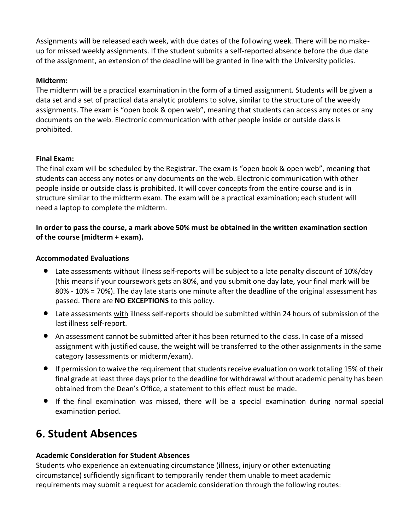Assignments will be released each week, with due dates of the following week. There will be no makeup for missed weekly assignments. If the student submits a self-reported absence before the due date of the assignment, an extension of the deadline will be granted in line with the University policies.

#### **Midterm:**

The midterm will be a practical examination in the form of a timed assignment. Students will be given a data set and a set of practical data analytic problems to solve, similar to the structure of the weekly assignments. The exam is "open book & open web", meaning that students can access any notes or any documents on the web. Electronic communication with other people inside or outside class is prohibited.

#### **Final Exam:**

The final exam will be scheduled by the Registrar. The exam is "open book & open web", meaning that students can access any notes or any documents on the web. Electronic communication with other people inside or outside class is prohibited. It will cover concepts from the entire course and is in structure similar to the midterm exam. The exam will be a practical examination; each student will need a laptop to complete the midterm.

### **In order to pass the course, a mark above 50% must be obtained in the written examination section of the course (midterm + exam).**

#### **Accommodated Evaluations**

- Late assessments without illness self-reports will be subject to a late penalty discount of 10%/day (this means if your coursework gets an 80%, and you submit one day late, your final mark will be 80% - 10% = 70%). The day late starts one minute after the deadline of the original assessment has passed. There are **NO EXCEPTIONS** to this policy.
- Late assessments with illness self-reports should be submitted within 24 hours of submission of the last illness self-report.
- An assessment cannot be submitted after it has been returned to the class. In case of a missed assignment with justified cause, the weight will be transferred to the other assignments in the same category (assessments or midterm/exam).
- If permission to waive the requirement that students receive evaluation on work totaling 15% of their final grade at least three days prior to the deadline for withdrawal without academic penalty has been obtained from the Dean's Office, a statement to this effect must be made.
- If the final examination was missed, there will be a special examination during normal special examination period.

# **6. Student Absences**

### **Academic Consideration for Student Absences**

Students who experience an extenuating circumstance (illness, injury or other extenuating circumstance) sufficiently significant to temporarily render them unable to meet academic requirements may submit a request for academic consideration through the following routes: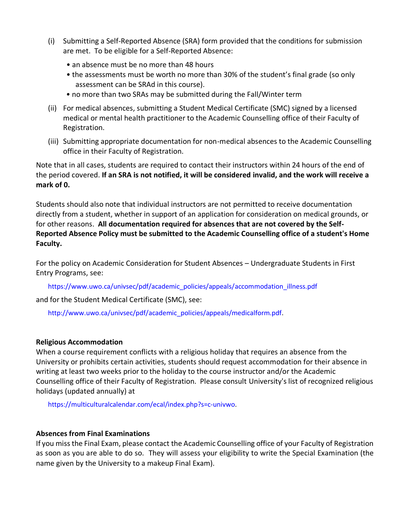- (i) Submitting a Self-Reported Absence (SRA) form provided that the conditions for submission are met. To be eligible for a Self-Reported Absence:
	- an absence must be no more than 48 hours
	- the assessments must be worth no more than 30% of the student's final grade (so only assessment can be SRAd in this course).
	- no more than two SRAs may be submitted during the Fall/Winter term
- (ii) For medical absences, submitting a Student Medical Certificate (SMC) signed by a licensed medical or mental health practitioner to the Academic Counselling office of their Faculty of Registration.
- (iii) Submitting appropriate documentation for non-medical absences to the Academic Counselling office in their Faculty of Registration.

Note that in all cases, students are required to contact their instructors within 24 hours of the end of the period covered. **If an SRA is not notified, it will be considered invalid, and the work will receive a mark of 0.**

Students should also note that individual instructors are not permitted to receive documentation directly from a student, whether in support of an application for consideration on medical grounds, or for other reasons. **All documentation required for absences that are not covered by the Self-Reported Absence Policy must be submitted to the Academic Counselling office of a student's Home Faculty.**

For the policy on Academic Consideration for Student Absences – Undergraduate Students in First Entry Programs, see:

https://www.uwo.ca/univsec/pdf/academic\_policies/appeals/accommodation\_illness.pdf

and for the Student Medical Certificate (SMC), see:

http://www.uwo.ca/univsec/pdf/academic\_policies/appeals/medicalform.pdf.

#### **Religious Accommodation**

When a course requirement conflicts with a religious holiday that requires an absence from the University or prohibits certain activities, students should request accommodation for their absence in writing at least two weeks prior to the holiday to the course instructor and/or the Academic Counselling office of their Faculty of Registration. Please consult University's list of recognized religious holidays (updated annually) at

https://multiculturalcalendar.com/ecal/index.php?s=c-univwo.

#### **Absences from Final Examinations**

If you miss the Final Exam, please contact the Academic Counselling office of your Faculty of Registration as soon as you are able to do so. They will assess your eligibility to write the Special Examination (the name given by the University to a makeup Final Exam).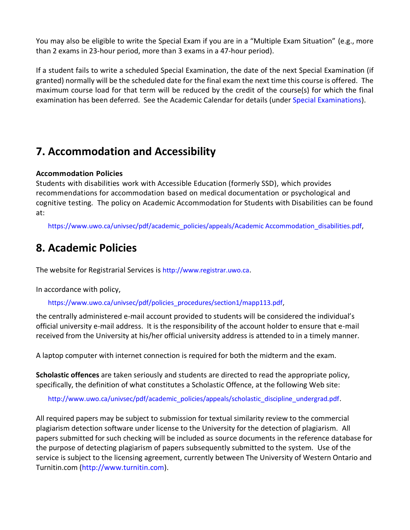You may also be eligible to write the Special Exam if you are in a "Multiple Exam Situation" (e.g., more than 2 exams in 23-hour period, more than 3 exams in a 47-hour period).

If a student fails to write a scheduled Special Examination, the date of the next Special Examination (if granted) normally will be the scheduled date for the final exam the next time this course is offered. The maximum course load for that term will be reduced by the credit of the course(s) for which the final examination has been deferred. See the Academic Calendar for details (under Special Examinations).

## **7. Accommodation and Accessibility**

#### **Accommodation Policies**

Students with disabilities work with Accessible Education (formerly SSD), which provides recommendations for accommodation based on medical documentation or psychological and cognitive testing. The policy on Academic Accommodation for Students with Disabilities can be found at:

https://www.uwo.ca/univsec/pdf/academic\_policies/appeals/Academic Accommodation\_disabilities.pdf,

### **8. Academic Policies**

The website for Registrarial Services is http://www.registrar.uwo.ca.

In accordance with policy,

https://www.uwo.ca/univsec/pdf/policies\_procedures/section1/mapp113.pdf,

the centrally administered e-mail account provided to students will be considered the individual's official university e-mail address. It is the responsibility of the account holder to ensure that e-mail received from the University at his/her official university address is attended to in a timely manner.

A laptop computer with internet connection is required for both the midterm and the exam.

**Scholastic offences** are taken seriously and students are directed to read the appropriate policy, specifically, the definition of what constitutes a Scholastic Offence, at the following Web site:

http://www.uwo.ca/univsec/pdf/academic\_policies/appeals/scholastic\_discipline\_undergrad.pdf.

All required papers may be subject to submission for textual similarity review to the commercial plagiarism detection software under license to the University for the detection of plagiarism. All papers submitted for such checking will be included as source documents in the reference database for the purpose of detecting plagiarism of papers subsequently submitted to the system. Use of the service is subject to the licensing agreement, currently between The University of Western Ontario and Turnitin.com (http://www.turnitin.com).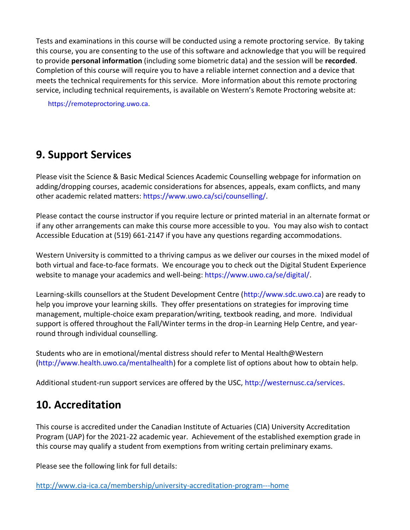Tests and examinations in this course will be conducted using a remote proctoring service. By taking this course, you are consenting to the use of this software and acknowledge that you will be required to provide **personal information** (including some biometric data) and the session will be **recorded**. Completion of this course will require you to have a reliable internet connection and a device that meets the technical requirements for this service. More information about this remote proctoring service, including technical requirements, is available on Western's Remote Proctoring website at:

https://remoteproctoring.uwo.ca.

# **9. Support Services**

Please visit the Science & Basic Medical Sciences Academic Counselling webpage for information on adding/dropping courses, academic considerations for absences, appeals, exam conflicts, and many other academic related matters: https://www.uwo.ca/sci/counselling/.

Please contact the course instructor if you require lecture or printed material in an alternate format or if any other arrangements can make this course more accessible to you. You may also wish to contact Accessible Education at (519) 661-2147 if you have any questions regarding accommodations.

Western University is committed to a thriving campus as we deliver our courses in the mixed model of both virtual and face-to-face formats. We encourage you to check out the Digital Student Experience website to manage your academics and well-being: https://www.uwo.ca/se/digital/.

Learning-skills counsellors at the Student Development Centre (http://www.sdc.uwo.ca) are ready to help you improve your learning skills. They offer presentations on strategies for improving time management, multiple-choice exam preparation/writing, textbook reading, and more. Individual support is offered throughout the Fall/Winter terms in the drop-in Learning Help Centre, and yearround through individual counselling.

Students who are in emotional/mental distress should refer to Mental Health@Western (http://www.health.uwo.ca/mentalhealth) for a complete list of options about how to obtain help.

Additional student-run support services are offered by the USC, http://westernusc.ca/services.

# **10. Accreditation**

This course is accredited under the Canadian Institute of Actuaries (CIA) University Accreditation Program (UAP) for the 2021-22 academic year. Achievement of the established exemption grade in this course may qualify a student from exemptions from writing certain preliminary exams.

Please see the following link for full details:

[http://www.cia-ica.ca/membership/university-accreditation-program---home](https://www.cia-ica.ca/membership/university-accreditation-program-home/information-for-candidates)